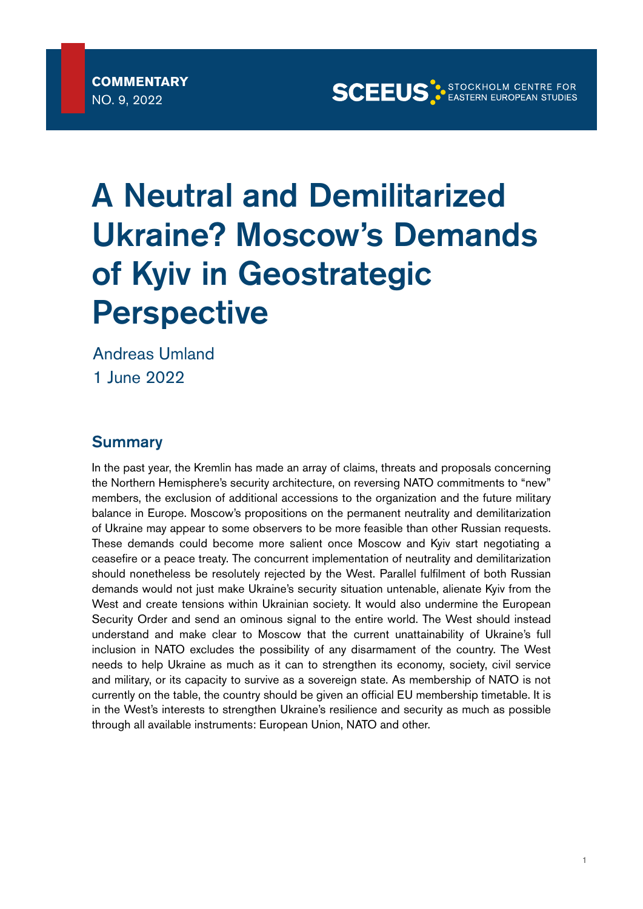**SCEEUS**<sup>3</sup> EASTERN EUROPEAN STUDIES

# A Neutral and Demilitarized Ukraine? Moscow's Demands of Kyiv in Geostrategic **Perspective**

Andreas Umland 1 June 2022

### **Summary**

In the past year, the Kremlin has made an array of claims, threats and proposals concerning the Northern Hemisphere's security architecture, on reversing NATO commitments to "new" members, the exclusion of additional accessions to the organization and the future military balance in Europe. Moscow's propositions on the permanent neutrality and demilitarization of Ukraine may appear to some observers to be more feasible than other Russian requests. These demands could become more salient once Moscow and Kyiv start negotiating a ceasefire or a peace treaty. The concurrent implementation of neutrality and demilitarization should nonetheless be resolutely rejected by the West. Parallel fulfilment of both Russian demands would not just make Ukraine's security situation untenable, alienate Kyiv from the West and create tensions within Ukrainian society. It would also undermine the European Security Order and send an ominous signal to the entire world. The West should instead understand and make clear to Moscow that the current unattainability of Ukraine's full inclusion in NATO excludes the possibility of any disarmament of the country. The West needs to help Ukraine as much as it can to strengthen its economy, society, civil service and military, or its capacity to survive as a sovereign state. As membership of NATO is not currently on the table, the country should be given an official EU membership timetable. It is in the West's interests to strengthen Ukraine's resilience and security as much as possible through all available instruments: European Union, NATO and other.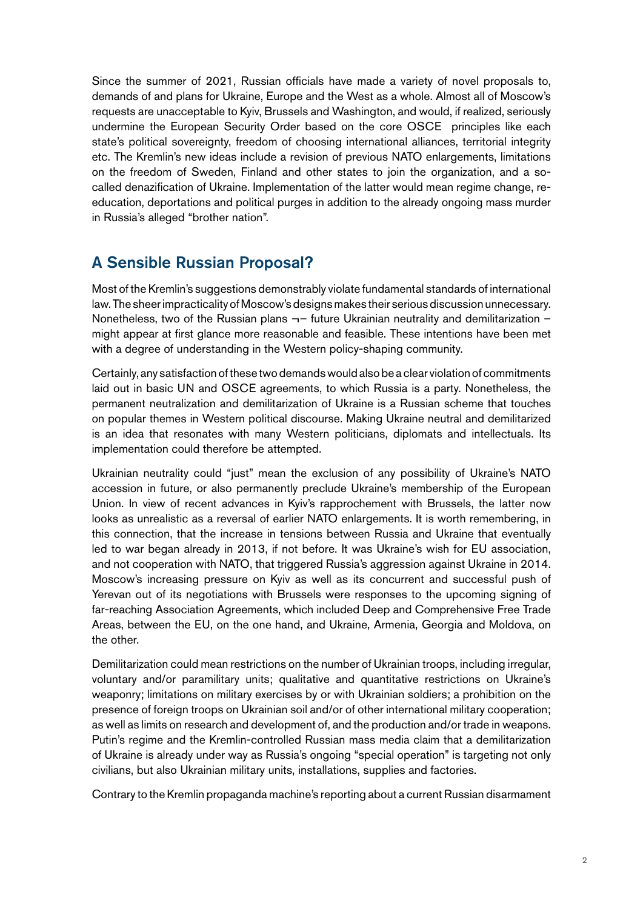Since the summer of 2021, Russian officials have made a variety of novel proposals to, demands of and plans for Ukraine, Europe and the West as a whole. Almost all of Moscow's requests are unacceptable to Kyiv, Brussels and Washington, and would, if realized, seriously undermine the European Security Order based on the core OSCE principles like each state's political sovereignty, freedom of choosing international alliances, territorial integrity etc. The Kremlin's new ideas include a revision of previous NATO enlargements, limitations on the freedom of Sweden, Finland and other states to join the organization, and a socalled denazification of Ukraine. Implementation of the latter would mean regime change, reeducation, deportations and political purges in addition to the already ongoing mass murder in Russia's alleged "brother nation".

## A Sensible Russian Proposal?

Most of the Kremlin's suggestions demonstrably violate fundamental standards of international law. The sheer impracticality of Moscow's designs makes their serious discussion unnecessary. Nonetheless, two of the Russian plans  $\neg$  future Ukrainian neutrality and demilitarization  $$ might appear at first glance more reasonable and feasible. These intentions have been met with a degree of understanding in the Western policy-shaping community.

Certainly, any satisfaction of these two demands would also be a clear violation of commitments laid out in basic UN and OSCE agreements, to which Russia is a party. Nonetheless, the permanent neutralization and demilitarization of Ukraine is a Russian scheme that touches on popular themes in Western political discourse. Making Ukraine neutral and demilitarized is an idea that resonates with many Western politicians, diplomats and intellectuals. Its implementation could therefore be attempted.

Ukrainian neutrality could "just" mean the exclusion of any possibility of Ukraine's NATO accession in future, or also permanently preclude Ukraine's membership of the European Union. In view of recent advances in Kyiv's rapprochement with Brussels, the latter now looks as unrealistic as a reversal of earlier NATO enlargements. It is worth remembering, in this connection, that the increase in tensions between Russia and Ukraine that eventually led to war began already in 2013, if not before. It was Ukraine's wish for EU association, and not cooperation with NATO, that triggered Russia's aggression against Ukraine in 2014. Moscow's increasing pressure on Kyiv as well as its concurrent and successful push of Yerevan out of its negotiations with Brussels were responses to the upcoming signing of far-reaching Association Agreements, which included Deep and Comprehensive Free Trade Areas, between the EU, on the one hand, and Ukraine, Armenia, Georgia and Moldova, on the other.

Demilitarization could mean restrictions on the number of Ukrainian troops, including irregular, voluntary and/or paramilitary units; qualitative and quantitative restrictions on Ukraine's weaponry; limitations on military exercises by or with Ukrainian soldiers; a prohibition on the presence of foreign troops on Ukrainian soil and/or of other international military cooperation; as well as limits on research and development of, and the production and/or trade in weapons. Putin's regime and the Kremlin-controlled Russian mass media claim that a demilitarization of Ukraine is already under way as Russia's ongoing "special operation" is targeting not only civilians, but also Ukrainian military units, installations, supplies and factories.

Contrary to the Kremlin propaganda machine's reporting about a current Russian disarmament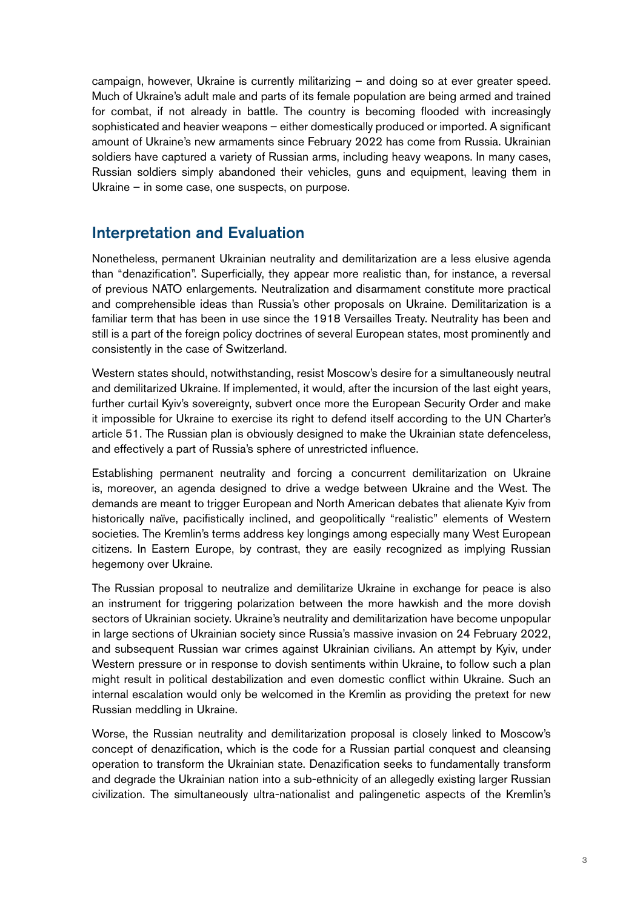campaign, however, Ukraine is currently militarizing – and doing so at ever greater speed. Much of Ukraine's adult male and parts of its female population are being armed and trained for combat, if not already in battle. The country is becoming flooded with increasingly sophisticated and heavier weapons – either domestically produced or imported. A significant amount of Ukraine's new armaments since February 2022 has come from Russia. Ukrainian soldiers have captured a variety of Russian arms, including heavy weapons. In many cases, Russian soldiers simply abandoned their vehicles, guns and equipment, leaving them in Ukraine – in some case, one suspects, on purpose.

## Interpretation and Evaluation

Nonetheless, permanent Ukrainian neutrality and demilitarization are a less elusive agenda than "denazification". Superficially, they appear more realistic than, for instance, a reversal of previous NATO enlargements. Neutralization and disarmament constitute more practical and comprehensible ideas than Russia's other proposals on Ukraine. Demilitarization is a familiar term that has been in use since the 1918 Versailles Treaty. Neutrality has been and still is a part of the foreign policy doctrines of several European states, most prominently and consistently in the case of Switzerland.

Western states should, notwithstanding, resist Moscow's desire for a simultaneously neutral and demilitarized Ukraine. If implemented, it would, after the incursion of the last eight years, further curtail Kyiv's sovereignty, subvert once more the European Security Order and make it impossible for Ukraine to exercise its right to defend itself according to the UN Charter's article 51. The Russian plan is obviously designed to make the Ukrainian state defenceless, and effectively a part of Russia's sphere of unrestricted influence.

Establishing permanent neutrality and forcing a concurrent demilitarization on Ukraine is, moreover, an agenda designed to drive a wedge between Ukraine and the West. The demands are meant to trigger European and North American debates that alienate Kyiv from historically naïve, pacifistically inclined, and geopolitically "realistic" elements of Western societies. The Kremlin's terms address key longings among especially many West European citizens. In Eastern Europe, by contrast, they are easily recognized as implying Russian hegemony over Ukraine.

The Russian proposal to neutralize and demilitarize Ukraine in exchange for peace is also an instrument for triggering polarization between the more hawkish and the more dovish sectors of Ukrainian society. Ukraine's neutrality and demilitarization have become unpopular in large sections of Ukrainian society since Russia's massive invasion on 24 February 2022, and subsequent Russian war crimes against Ukrainian civilians. An attempt by Kyiv, under Western pressure or in response to dovish sentiments within Ukraine, to follow such a plan might result in political destabilization and even domestic conflict within Ukraine. Such an internal escalation would only be welcomed in the Kremlin as providing the pretext for new Russian meddling in Ukraine.

Worse, the Russian neutrality and demilitarization proposal is closely linked to Moscow's concept of denazification, which is the code for a Russian partial conquest and cleansing operation to transform the Ukrainian state. Denazification seeks to fundamentally transform and degrade the Ukrainian nation into a sub-ethnicity of an allegedly existing larger Russian civilization. The simultaneously ultra-nationalist and palingenetic aspects of the Kremlin's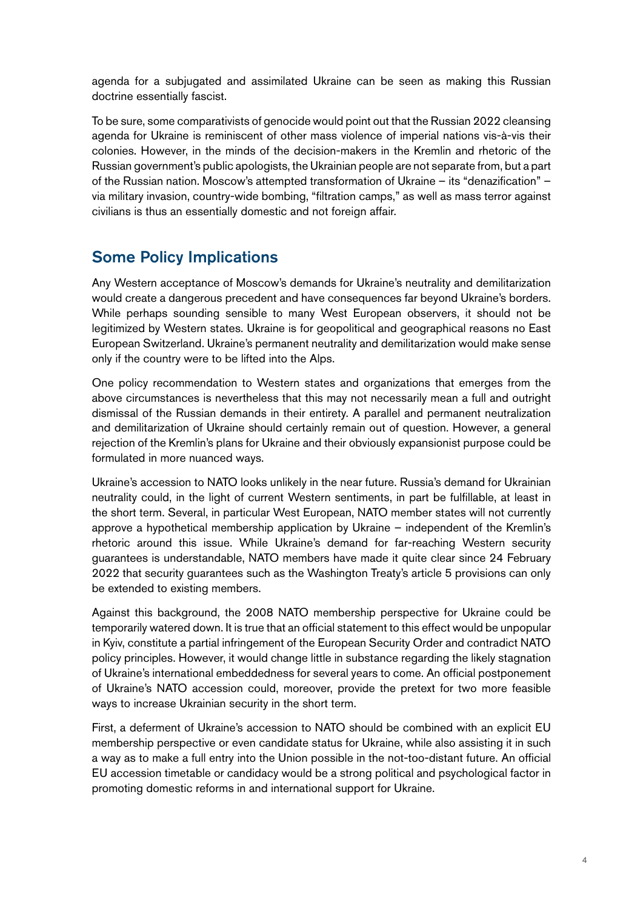agenda for a subjugated and assimilated Ukraine can be seen as making this Russian doctrine essentially fascist.

To be sure, some comparativists of genocide would point out that the Russian 2022 cleansing agenda for Ukraine is reminiscent of other mass violence of imperial nations vis-à-vis their colonies. However, in the minds of the decision-makers in the Kremlin and rhetoric of the Russian government's public apologists, the Ukrainian people are not separate from, but a part of the Russian nation. Moscow's attempted transformation of Ukraine – its "denazification" – via military invasion, country-wide bombing, "filtration camps," as well as mass terror against civilians is thus an essentially domestic and not foreign affair.

## Some Policy Implications

Any Western acceptance of Moscow's demands for Ukraine's neutrality and demilitarization would create a dangerous precedent and have consequences far beyond Ukraine's borders. While perhaps sounding sensible to many West European observers, it should not be legitimized by Western states. Ukraine is for geopolitical and geographical reasons no East European Switzerland. Ukraine's permanent neutrality and demilitarization would make sense only if the country were to be lifted into the Alps.

One policy recommendation to Western states and organizations that emerges from the above circumstances is nevertheless that this may not necessarily mean a full and outright dismissal of the Russian demands in their entirety. A parallel and permanent neutralization and demilitarization of Ukraine should certainly remain out of question. However, a general rejection of the Kremlin's plans for Ukraine and their obviously expansionist purpose could be formulated in more nuanced ways.

Ukraine's accession to NATO looks unlikely in the near future. Russia's demand for Ukrainian neutrality could, in the light of current Western sentiments, in part be fulfillable, at least in the short term. Several, in particular West European, NATO member states will not currently approve a hypothetical membership application by Ukraine – independent of the Kremlin's rhetoric around this issue. While Ukraine's demand for far-reaching Western security guarantees is understandable, NATO members have made it quite clear since 24 February 2022 that security guarantees such as the Washington Treaty's article 5 provisions can only be extended to existing members.

Against this background, the 2008 NATO membership perspective for Ukraine could be temporarily watered down. It is true that an official statement to this effect would be unpopular in Kyiv, constitute a partial infringement of the European Security Order and contradict NATO policy principles. However, it would change little in substance regarding the likely stagnation of Ukraine's international embeddedness for several years to come. An official postponement of Ukraine's NATO accession could, moreover, provide the pretext for two more feasible ways to increase Ukrainian security in the short term.

First, a deferment of Ukraine's accession to NATO should be combined with an explicit EU membership perspective or even candidate status for Ukraine, while also assisting it in such a way as to make a full entry into the Union possible in the not-too-distant future. An official EU accession timetable or candidacy would be a strong political and psychological factor in promoting domestic reforms in and international support for Ukraine.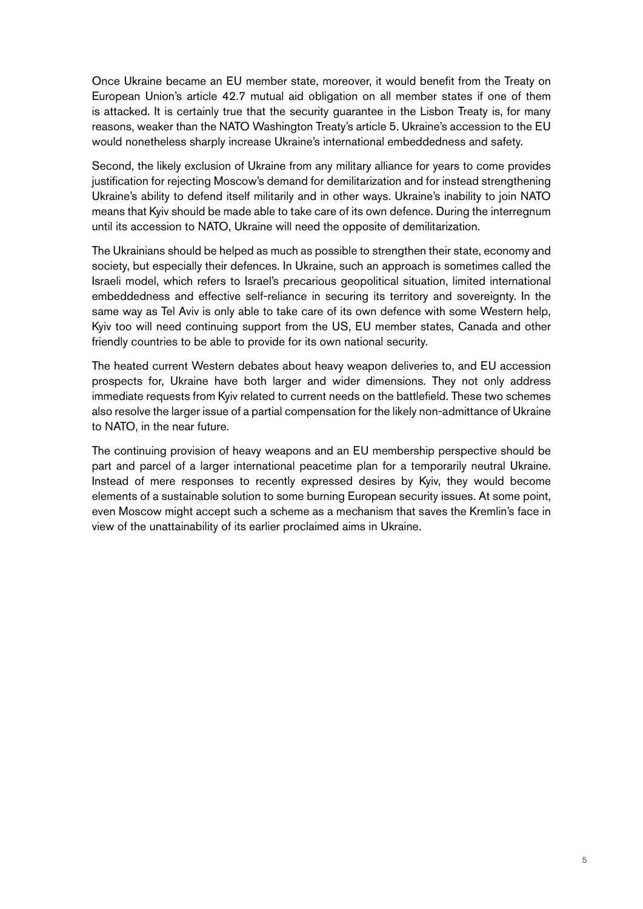Once Ukraine became an EU member state, moreover, it would benefit from the Treaty on European Union's article 42.7 mutual aid obligation on all member states if one of them is attacked. It is certainly true that the security guarantee in the Lisbon Treaty is, for many reasons, weaker than the NATO Washington Treaty's article 5. Ukraine's accession to the EU would nonetheless sharply increase Ukraine's international embeddedness and safety.

Second, the likely exclusion of Ukraine from any military alliance for years to come provides justification for rejecting Moscow's demand for demilitarization and for instead strengthening Ukraine's ability to defend itself militarily and in other ways. Ukraine's inability to join NATO means that Kyiv should be made able to take care of its own defence. During the interregnum until its accession to NATO, Ukraine will need the opposite of demilitarization.

The Ukrainians should be helped as much as possible to strengthen their state, economy and society, but especially their defences. In Ukraine, such an approach is sometimes called the Israeli model, which refers to Israel's precarious geopolitical situation, limited international embeddedness and effective self-reliance in securing its territory and sovereignty. In the same way as Tel Aviv is only able to take care of its own defence with some Western help, Kyiv too will need continuing support from the US, EU member states, Canada and other friendly countries to be able to provide for its own national security.

The heated current Western debates about heavy weapon deliveries to, and EU accession prospects for, Ukraine have both larger and wider dimensions. They not only address immediate requests from Kyiv related to current needs on the battlefield. These two schemes also resolve the larger issue of a partial compensation for the likely non-admittance of Ukraine to NATO, in the near future.

The continuing provision of heavy weapons and an EU membership perspective should be part and parcel of a larger international peacetime plan for a temporarily neutral Ukraine. Instead of mere responses to recently expressed desires by Kyiv, they would become elements of a sustainable solution to some burning European security issues. At some point, even Moscow might accept such a scheme as a mechanism that saves the Kremlin's face in view of the unattainability of its earlier proclaimed aims in Ukraine.